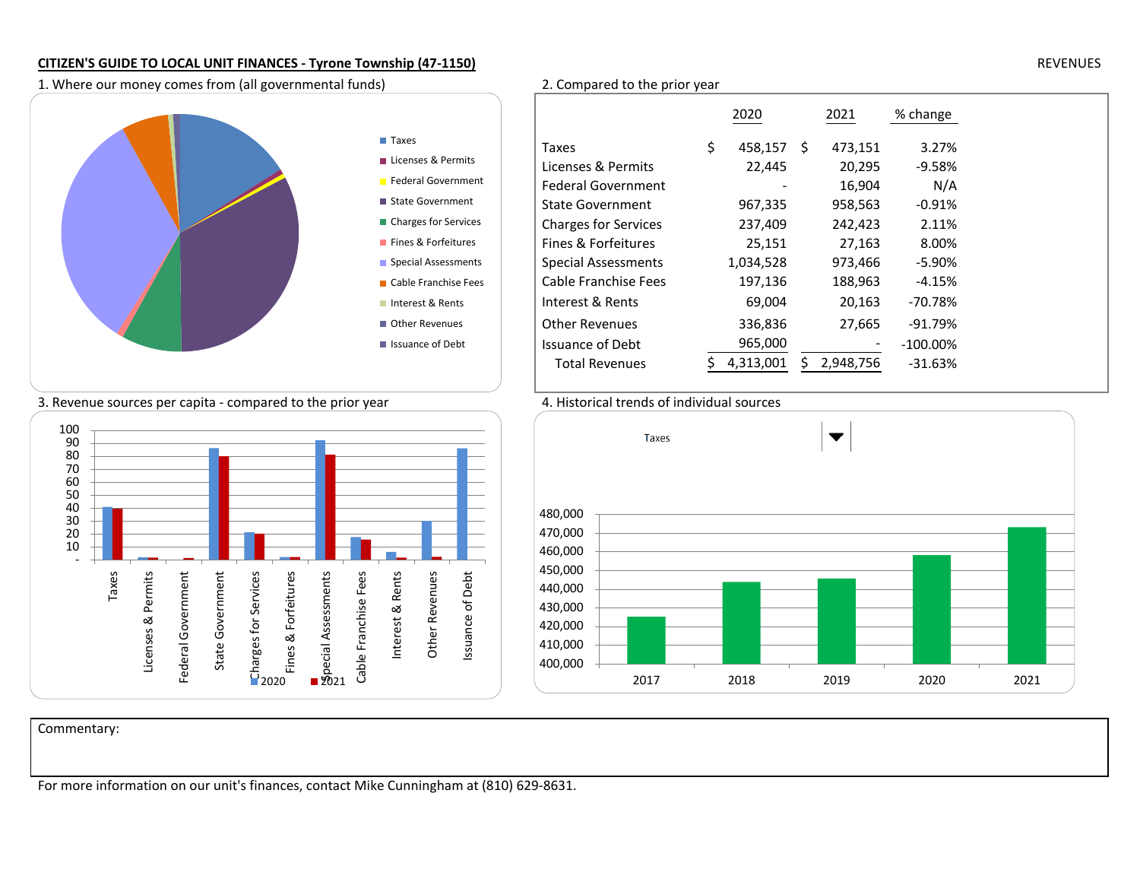1. Where our money comes from (all governmental funds) 2. Compared to the prior year



|                             | 2020          |     | 2021      | % change    |
|-----------------------------|---------------|-----|-----------|-------------|
| Taxes                       | \$<br>458,157 | \$. | 473,151   | 3.27%       |
| Licenses & Permits          | 22,445        |     | 20,295    | $-9.58%$    |
| <b>Federal Government</b>   |               |     | 16,904    | N/A         |
| <b>State Government</b>     | 967,335       |     | 958,563   | $-0.91%$    |
| <b>Charges for Services</b> | 237,409       |     | 242,423   | 2.11%       |
| Fines & Forfeitures         | 25,151        |     | 27,163    | 8.00%       |
| <b>Special Assessments</b>  | 1,034,528     |     | 973,466   | $-5.90\%$   |
| Cable Franchise Fees        | 197,136       |     | 188,963   | -4.15%      |
| Interest & Rents            | 69,004        |     | 20,163    | $-70.78%$   |
| <b>Other Revenues</b>       | 336,836       |     | 27,665    | $-91.79%$   |
| <b>Issuance of Debt</b>     | 965,000       |     |           | $-100.00\%$ |
| <b>Total Revenues</b>       | 4,313,001     |     | 2,948,756 | $-31.63%$   |
|                             |               |     |           |             |

## 3. Revenue sources per capita - compared to the prior year 4. Historical trends of individual sources





Commentary:

For more information on our unit's finances, contact Mike Cunningham at (810) 629-8631.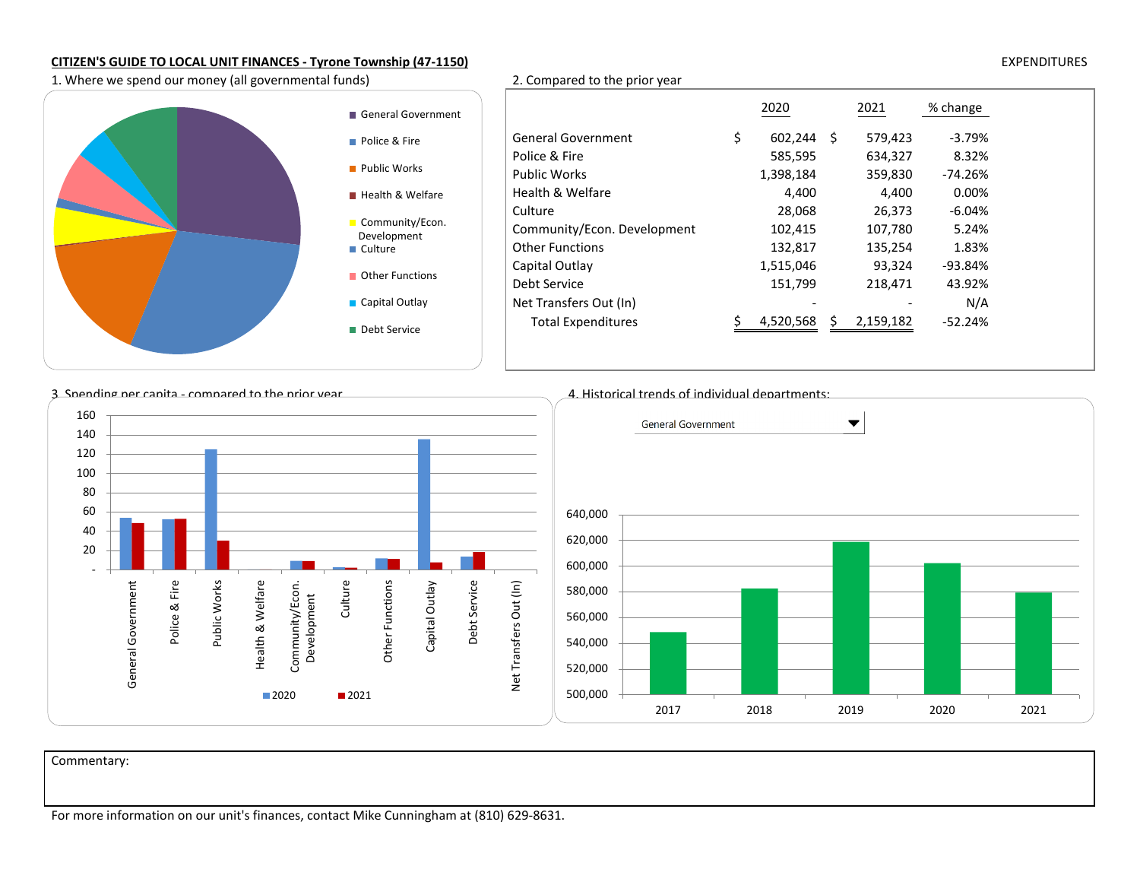**Police & Fire** 

Culture

Debt Service

1. Where we spend our money (all governmental funds) 2. Compared to the prior year

2020 <sup>2021</sup> % change General Government  $\frac{1}{5}$  602,244<br>Police & Fire 585,595 602,244 \$ 579,423 -3.79%<br>585,595 634,327 8.32% 8.32% Police & Fire 634,327 8.32%  $-74.26%$ Public Works 1,398,184 359,830 -74.26%0.00% Health & Welfare  $4,400$   $4,400$   $4,400$   $4,400$   $4,400$   $4,400$   $4,400$   $4,400$   $4,400$   $4,400$   $4,400$   $4,400$   $4,400$   $4,400$   $4,400$   $4,400$   $4,400$   $4,400$   $4,400$   $4,400$   $4,400$   $4,400$   $4,400$   $4,400$   $4,400$   $4,40$  $-6.04%$ 28,068 28,068 26,373<br>102,415 107,780 5.24% Community/Econ. Development 102,415<br>Other Functions 132,817 1.83% Other Functions 132,817 135,254<br>Capital Outlay 1,515,046 93,324  $-93.84%$ Capital Outlay<br>Debt Service 43.92% Debt Service 151,799 218,471 43.92% $N/A$ Net Transfers Out (In)<br>Total Expenditures 6 1.520,568 5 2.159,182  $-52.24%$ Total Expenditures \$ 2,159,182 4,520,5682,159,182 General Government **Public Works Health & Welfare** Community/Econ. Development**Other Functions** ■ Capital Outlay



Commentary:

 $\bf{l}$  expenditures the control of the control of the control of the control of the control of the control of the control of the control of the control of the control of the control of the control of the control of the co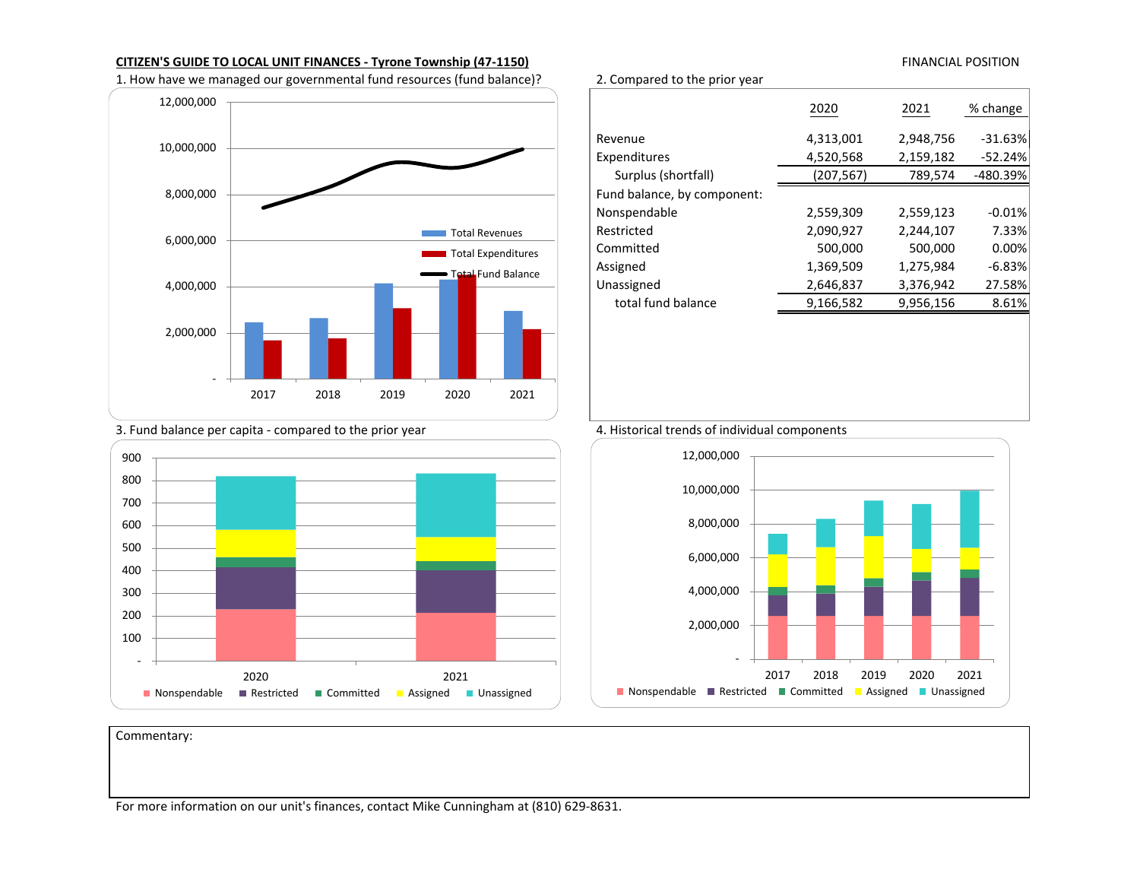1. How have we managed our governmental fund resources (fund balance)? 2. Compared to the prior year



### 2020 <sup>2021</sup> % change Revenue 4,313,001 2,948,756 -31.63% $-52.24%$ Expenditures 1,520,568 2,159,182<br>
Surplus (shortfall) 1,207,567 789,574 -480.39% Surplus (shortfall) Fund balance, by component:Nonspendable 2,559,309 2,559,123 -0.01%<br>Restricted 2,090,927 2,244,107 7.33% 7.33% Restricted 2,090,927 2,244,107 7.33%0.00% Committed 500,000 500,000 0.00% $-6.83%$ Assigned 1,369,509 1,275,984 -6.83% 27.58% Unassigned 2,646,837 3,376,942<br>total fund balance 9,166,582 9,956,156 8.61% total fund balance







Commentary:



FINANCIAL POSITION